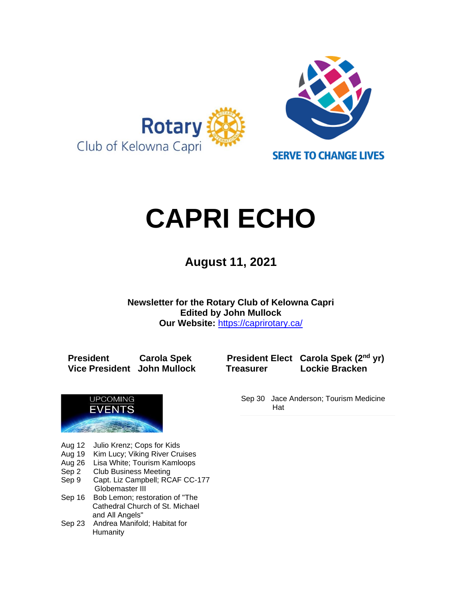

# **CAPRI ECHO**

 **August 11, <sup>2021</sup>**

**Newsletter for the Rotary Club of Kelowna Capri Edited by John Mullock Our Website:** <https://caprirotary.ca/>

**President Carola Spek President Elect Carola Spek (2nd yr) Vice President John Mullock Treasurer Lockie Bracken**



- Aug 12 Julio Krenz; Cops for Kids
- Aug 19 Kim Lucy; Viking River Cruises
- Aug 26 Lisa White; Tourism Kamloops
- Sep 2 Club Business Meeting
- Sep 9 Capt. Liz Campbell; RCAF CC-177 Globemaster III
- Sep 16 Bob Lemon; restoration of "The **Cathedral Church of St. Michael** and All Angels"
- Sep 23 Andrea Manifold; Habitat for Humanity

Sep 30 Jace Anderson; Tourism Medicine Hat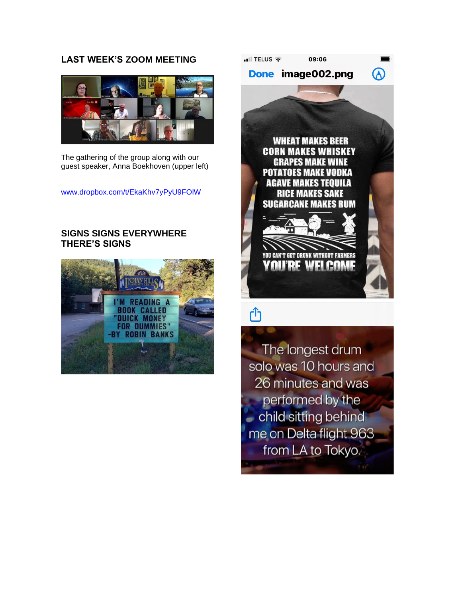# **LAST WEEK'S ZOOM MEETING**



The gathering of the group along with our guest speaker, Anna Boekhoven (upper left)

[www.dropbox.com/t/EkaKhv7yPyU9FOlW](https://www.dropbox.com/t/EkaKhv7yPyU9FOlW)

# **SIGNS SIGNS EVERYWHERE THERE'S SIGNS**





# ſĥ

The longest drum solo was 10 hours and 26 minutes and was performed by the - child sitting behind me on Delta flight 963 from LA to Tokyo.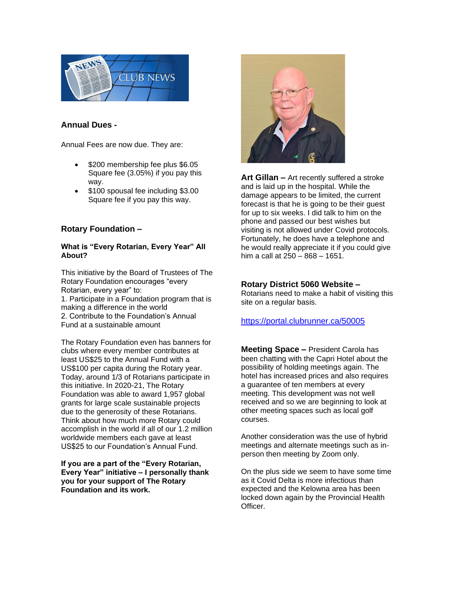

#### **Annual Dues -**

Annual Fees are now due. They are:

- \$200 membership fee plus \$6.05 Square fee (3.05%) if you pay this way.
- \$100 spousal fee including \$3.00 Square fee if you pay this way.

#### **Rotary Foundation –**

#### **What is "Every Rotarian, Every Year" All About?**

This initiative by the Board of Trustees of The Rotary Foundation encourages "every Rotarian, every year" to:

1. Participate in a Foundation program that is making a difference in the world 2. Contribute to the Foundation's Annual Fund at a sustainable amount

The Rotary Foundation even has banners for clubs where every member contributes at least US\$25 to the Annual Fund with a US\$100 per capita during the Rotary year. Today, around 1/3 of Rotarians participate in this initiative. In 2020-21, The Rotary Foundation was able to award 1,957 global grants for large scale sustainable projects due to the generosity of these Rotarians. Think about how much more Rotary could accomplish in the world if all of our 1.2 million worldwide members each gave at least US\$25 to our Foundation's Annual Fund.

**If you are a part of the "Every Rotarian, Every Year" initiative – I personally thank you for your support of The Rotary Foundation and its work.**



**Art Gillan –** Art recently suffered a stroke and is laid up in the hospital. While the damage appears to be limited, the current forecast is that he is going to be their guest for up to six weeks. I did talk to him on the phone and passed our best wishes but visiting is not allowed under Covid protocols. Fortunately, he does have a telephone and he would really appreciate it if you could give him a call at 250 – 868 – 1651.

#### **Rotary District 5060 Website –**

Rotarians need to make a habit of visiting this site on a regular basis.

#### <https://portal.clubrunner.ca/50005>

**Meeting Space –** President Carola has been chatting with the Capri Hotel about the possibility of holding meetings again. The hotel has increased prices and also requires a guarantee of ten members at every meeting. This development was not well received and so we are beginning to look at other meeting spaces such as local golf courses.

Another consideration was the use of hybrid meetings and alternate meetings such as inperson then meeting by Zoom only.

On the plus side we seem to have some time as it Covid Delta is more infectious than expected and the Kelowna area has been locked down again by the Provincial Health Officer.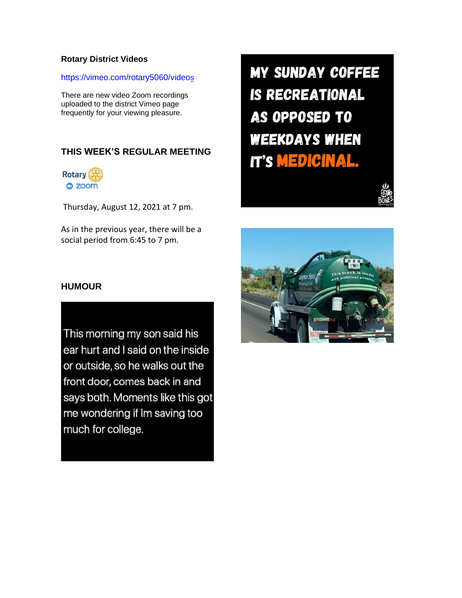#### **Rotary District Videos**

#### [https://vimeo.com/rotary5060/video](https://vimeo.com/rotary5060/videos)[s](https://vimeo.com/rotary5060/videos)

There are new video Zoom recordings uploaded to the district Vimeo page frequently for your viewing pleasure.

# **THIS WEEK'S REGULAR MEETING**



Thursday, August 12, 2021 at 7 pm.

As in the previous year, there will be a social period from 6:45 to 7 pm.

**MY SUNDAY COFFEE IS RECREATIONAL** AS OPPOSED TO **WEEKDAYS WHEN IT'S MEDICINAL.** 



## **HUMOUR**

This morning my son said his ear hurt and I said on the inside or outside, so he walks out the front door, comes back in and says both. Moments like this got me wondering if Im saving too much for college.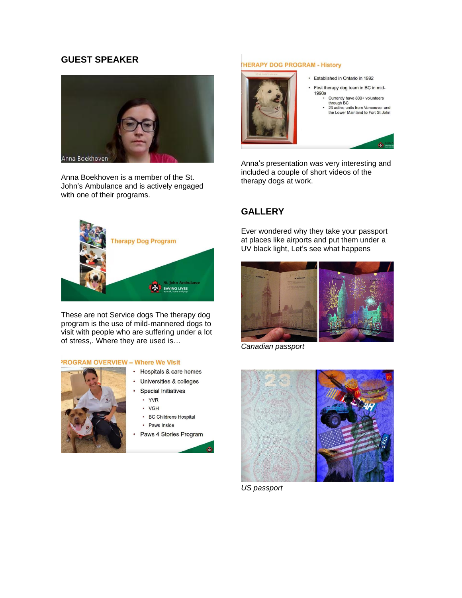# **GUEST SPEAKER**



Anna Boekhoven is a member of the St. John's Ambulance and is actively engaged with one of their programs.



These are not Service dogs The therapy dog program is the use of mild-mannered dogs to visit with people who are suffering under a lot of stress,. Where they are used is…

#### **PROGRAM OVERVIEW - Where We Visit**



- Hospitals & care homes
- Universities & colleges
- **Special Initiatives** 
	- · YVR
	- · VGH
	- BC Childrens Hospital
- Paws Inside
- Paws 4 Stories Program

#### **HERAPY DOG PROGRAM - History**



- Established in Ontario in 1992
- ä, First therapy dog team in BC in mid-1990s<br>Currently have 800+ volunteers<br>through BC
	- through BC<br>23 active units from Vancouver and<br>the Lower Mainland to Fort St John
	-



Anna's presentation was very interesting and included a couple of short videos of the therapy dogs at work.

# **GALLERY**

Ever wondered why they take your passport at places like airports and put them under a UV black light, Let's see what happens



*Canadian passport*



*US passport*